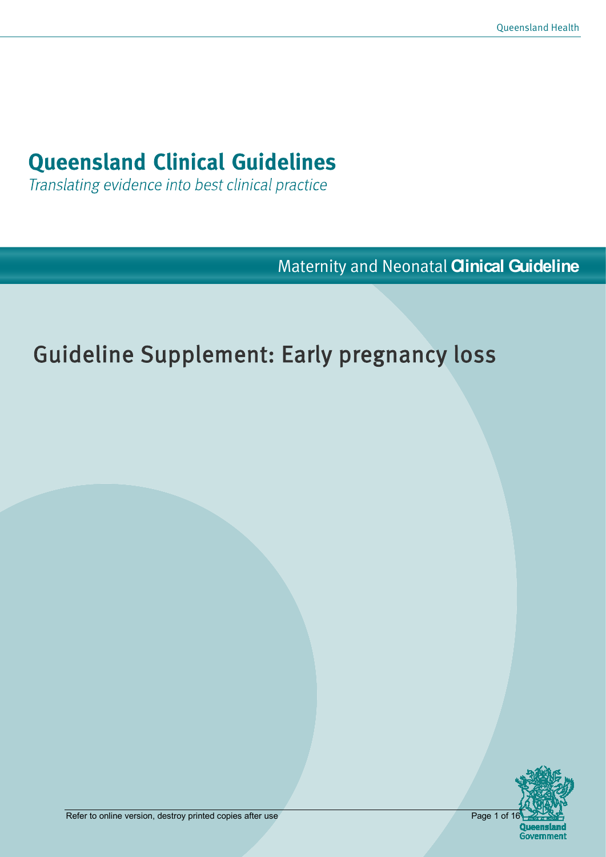# **Queensland Clinical Guidelines**

Translating evidence into best clinical practice

Maternity and Neonatal **Clinical Guideline**

# Guideline Supplement: Early pregnancy loss

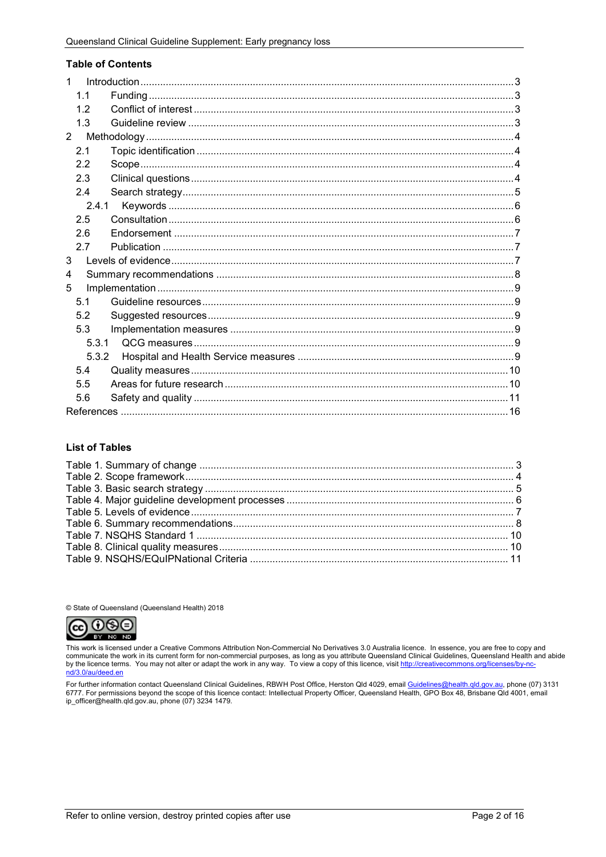#### **Table of Contents**

| 1              |  |
|----------------|--|
| 1.1            |  |
| 1.2            |  |
| 1.3            |  |
| $\overline{2}$ |  |
| 2.1            |  |
| 2.2            |  |
| 2.3            |  |
| 2.4            |  |
| 2.4.1          |  |
| 2.5            |  |
| 2.6            |  |
| 2.7            |  |
| 3              |  |
| 4              |  |
| 5              |  |
| 5.1            |  |
| 5.2            |  |
| 5.3            |  |
| 5.3.1          |  |
| 5.3.2          |  |
| 5.4            |  |
| 5.5            |  |
| 5.6            |  |
|                |  |

#### **List of Tables**

© State of Queensland (Queensland Health) 2018



This work is licensed under a Creative Commons Attribution Non-Commercial No Derivatives 3.0 Australia licence. In essence, you are free to copy and communicate the work in its current form for non-commercial purposes, as long as you attribute Queensland Clinical Guidelines, Queensland Health and abide by the licence terms. You may not alter or adapt the work in any way. To view a copy of this licence, visit http://creativecommons.org/licenses/by-no-<br>http://creativecommons.org/licenses/by-no-<br>http://creativecommons.org/l

For further information contact Queensland Clinical Guidelines, RBWH Post Office, Herston Qld 4029, email <u>Guidelines@health.qld.gov.au,</u> phone (07) 3131<br>6777. For permissions beyond the scope of this licence contact: Inte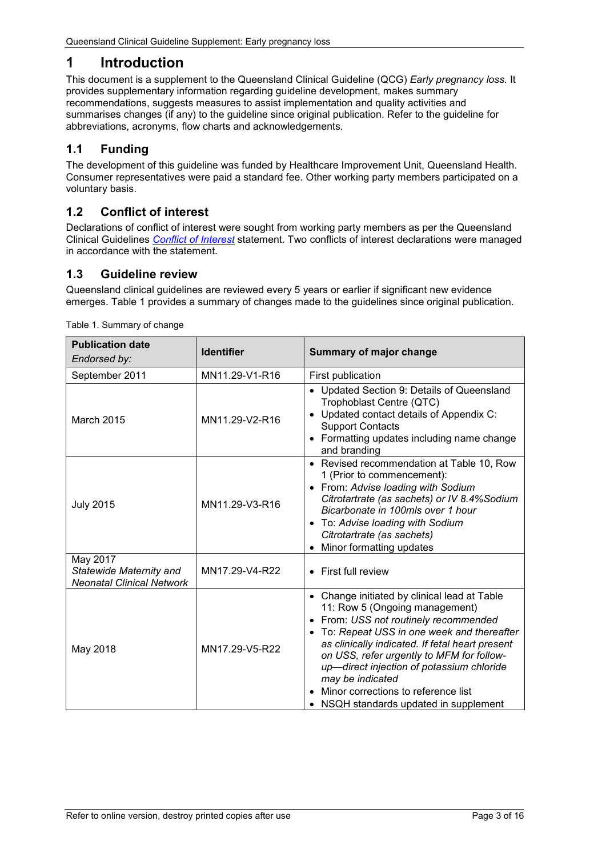# <span id="page-2-0"></span>**1 Introduction**

This document is a supplement to the Queensland Clinical Guideline (QCG) *Early pregnancy loss.* It provides supplementary information regarding guideline development, makes summary recommendations, suggests measures to assist implementation and quality activities and summarises changes (if any) to the guideline since original publication. Refer to the guideline for abbreviations, acronyms, flow charts and acknowledgements.

## <span id="page-2-1"></span>**1.1 Funding**

The development of this guideline was funded by Healthcare Improvement Unit, Queensland Health. Consumer representatives were paid a standard fee. Other working party members participated on a voluntary basis.

## <span id="page-2-2"></span>**1.2 Conflict of interest**

Declarations of conflict of interest were sought from working party members as per the Queensland Clinical Guidelines *[Conflict of Interest](http://www.health.qld.gov.au/qcg/development%23coi)* statement. Two conflicts of interest declarations were managed in accordance with the statement.

## <span id="page-2-3"></span>**1.3 Guideline review**

Queensland clinical guidelines are reviewed every 5 years or earlier if significant new evidence emerges. [Table 1](#page-2-4) provides a summary of changes made to the guidelines since original publication.

| <b>Publication date</b><br>Endorsed by:                                 | <b>Identifier</b> | <b>Summary of major change</b>                                                                                                                                                                                                                                                                                                                                                                                         |
|-------------------------------------------------------------------------|-------------------|------------------------------------------------------------------------------------------------------------------------------------------------------------------------------------------------------------------------------------------------------------------------------------------------------------------------------------------------------------------------------------------------------------------------|
| September 2011                                                          | MN11.29-V1-R16    | First publication                                                                                                                                                                                                                                                                                                                                                                                                      |
| March 2015                                                              | MN11.29-V2-R16    | • Updated Section 9: Details of Queensland<br>Trophoblast Centre (QTC)<br>• Updated contact details of Appendix C:<br><b>Support Contacts</b><br>• Formatting updates including name change<br>and branding                                                                                                                                                                                                            |
| <b>July 2015</b>                                                        | MN11.29-V3-R16    | • Revised recommendation at Table 10, Row<br>1 (Prior to commencement):<br>• From: Advise loading with Sodium<br>Citrotartrate (as sachets) or IV 8.4% Sodium<br>Bicarbonate in 100mls over 1 hour<br>• To: Advise loading with Sodium<br>Citrotartrate (as sachets)<br>Minor formatting updates                                                                                                                       |
| May 2017<br>Statewide Maternity and<br><b>Neonatal Clinical Network</b> | MN17.29-V4-R22    | • First full review                                                                                                                                                                                                                                                                                                                                                                                                    |
| May 2018                                                                | MN17.29-V5-R22    | • Change initiated by clinical lead at Table<br>11: Row 5 (Ongoing management)<br>• From: USS not routinely recommended<br>• To: Repeat USS in one week and thereafter<br>as clinically indicated. If fetal heart present<br>on USS, refer urgently to MFM for follow-<br>up-direct injection of potassium chloride<br>may be indicated<br>Minor corrections to reference list<br>NSQH standards updated in supplement |

<span id="page-2-4"></span>Table 1. Summary of change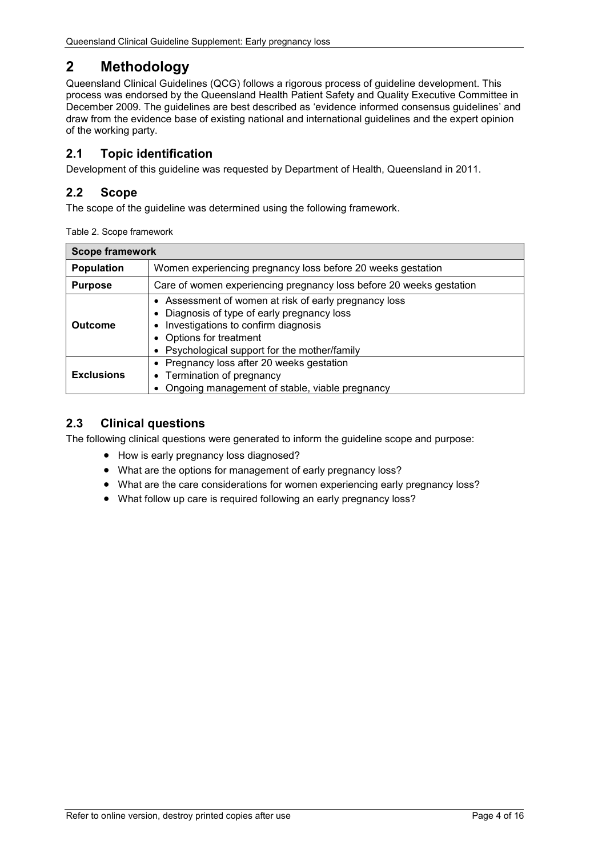# <span id="page-3-0"></span>**2 Methodology**

Queensland Clinical Guidelines (QCG) follows a rigorous process of guideline development. This process was endorsed by the Queensland Health Patient Safety and Quality Executive Committee in December 2009. The guidelines are best described as 'evidence informed consensus guidelines' and draw from the evidence base of existing national and international guidelines and the expert opinion of the working party.

## <span id="page-3-1"></span>**2.1 Topic identification**

Development of this guideline was requested by Department of Health, Queensland in 2011.

## <span id="page-3-2"></span>**2.2 Scope**

The scope of the guideline was determined using the following framework.

<span id="page-3-4"></span>

| <b>Scope framework</b> |                                                                                                                                                                                                                     |  |
|------------------------|---------------------------------------------------------------------------------------------------------------------------------------------------------------------------------------------------------------------|--|
| <b>Population</b>      | Women experiencing pregnancy loss before 20 weeks gestation                                                                                                                                                         |  |
| <b>Purpose</b>         | Care of women experiencing pregnancy loss before 20 weeks gestation                                                                                                                                                 |  |
| <b>Outcome</b>         | • Assessment of women at risk of early pregnancy loss<br>Diagnosis of type of early pregnancy loss<br>Investigations to confirm diagnosis<br>Options for treatment<br>• Psychological support for the mother/family |  |
| <b>Exclusions</b>      | • Pregnancy loss after 20 weeks gestation<br>Termination of pregnancy<br>Ongoing management of stable, viable pregnancy                                                                                             |  |

## <span id="page-3-3"></span>**2.3 Clinical questions**

The following clinical questions were generated to inform the guideline scope and purpose:

- How is early pregnancy loss diagnosed?
- What are the options for management of early pregnancy loss?
- What are the care considerations for women experiencing early pregnancy loss?
- What follow up care is required following an early pregnancy loss?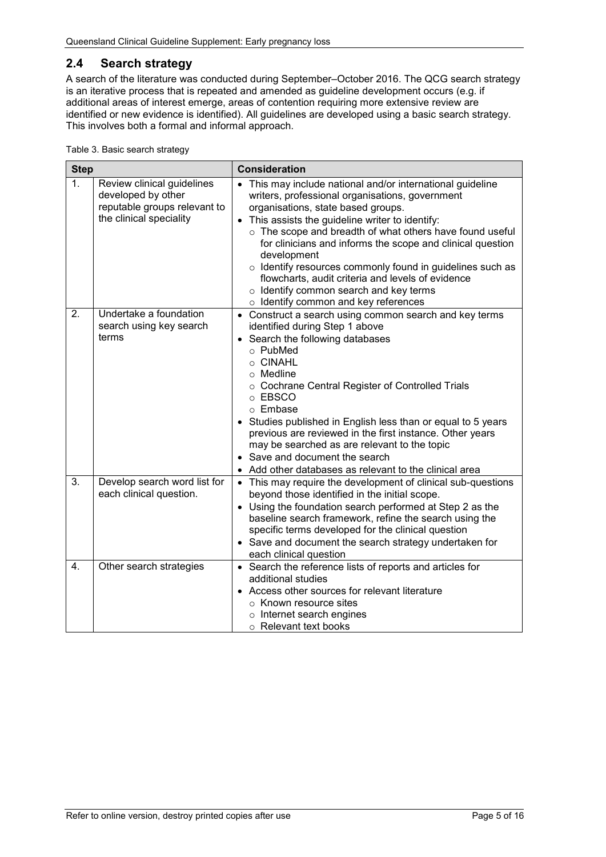## <span id="page-4-0"></span>**2.4 Search strategy**

A search of the literature was conducted during September–October 2016. The QCG search strategy is an iterative process that is repeated and amended as guideline development occurs (e.g. if additional areas of interest emerge, areas of contention requiring more extensive review are identified or new evidence is identified). All guidelines are developed using a basic search strategy. This involves both a formal and informal approach.

<span id="page-4-1"></span>

|  | Table 3. Basic search strategy |
|--|--------------------------------|
|  |                                |

| <b>Step</b>      |                                                                                                             | <b>Consideration</b>                                                                                                                                                                                                                                                                                                                                                                                                                                                                                                                               |  |
|------------------|-------------------------------------------------------------------------------------------------------------|----------------------------------------------------------------------------------------------------------------------------------------------------------------------------------------------------------------------------------------------------------------------------------------------------------------------------------------------------------------------------------------------------------------------------------------------------------------------------------------------------------------------------------------------------|--|
| 1.               | Review clinical guidelines<br>developed by other<br>reputable groups relevant to<br>the clinical speciality | • This may include national and/or international guideline<br>writers, professional organisations, government<br>organisations, state based groups.<br>This assists the guideline writer to identify:<br>o The scope and breadth of what others have found useful<br>for clinicians and informs the scope and clinical question<br>development<br>o Identify resources commonly found in guidelines such as<br>flowcharts, audit criteria and levels of evidence<br>o Identify common search and key terms<br>o Identify common and key references |  |
| 2.               | Undertake a foundation<br>search using key search<br>terms                                                  | • Construct a search using common search and key terms<br>identified during Step 1 above<br>• Search the following databases<br>$\circ$ PubMed<br>o CINAHL<br>$\circ$ Medline<br>o Cochrane Central Register of Controlled Trials<br>o EBSCO<br>o Embase<br>• Studies published in English less than or equal to 5 years<br>previous are reviewed in the first instance. Other years<br>may be searched as are relevant to the topic<br>• Save and document the search<br>Add other databases as relevant to the clinical area                     |  |
| $\overline{3}$ . | Develop search word list for<br>each clinical question.                                                     | • This may require the development of clinical sub-questions<br>beyond those identified in the initial scope.<br>• Using the foundation search performed at Step 2 as the<br>baseline search framework, refine the search using the<br>specific terms developed for the clinical question<br>• Save and document the search strategy undertaken for<br>each clinical question                                                                                                                                                                      |  |
| $\overline{4}$ . | Other search strategies                                                                                     | • Search the reference lists of reports and articles for<br>additional studies<br>• Access other sources for relevant literature<br>$\circ$ Known resource sites<br>o Internet search engines<br>○ Relevant text books                                                                                                                                                                                                                                                                                                                             |  |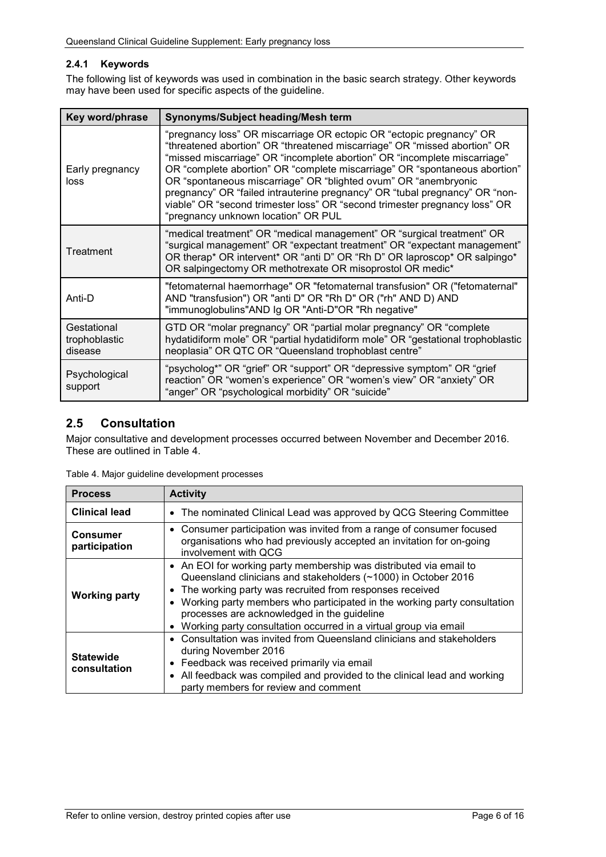### <span id="page-5-0"></span>**2.4.1 Keywords**

The following list of keywords was used in combination in the basic search strategy. Other keywords may have been used for specific aspects of the guideline.

| Key word/phrase                         | Synonyms/Subject heading/Mesh term                                                                                                                                                                                                                                                                                                                                                                                                                                                                                                                                                  |
|-----------------------------------------|-------------------------------------------------------------------------------------------------------------------------------------------------------------------------------------------------------------------------------------------------------------------------------------------------------------------------------------------------------------------------------------------------------------------------------------------------------------------------------------------------------------------------------------------------------------------------------------|
| Early pregnancy<br>loss                 | "pregnancy loss" OR miscarriage OR ectopic OR "ectopic pregnancy" OR<br>"threatened abortion" OR "threatened miscarriage" OR "missed abortion" OR<br>"missed miscarriage" OR "incomplete abortion" OR "incomplete miscarriage"<br>OR "complete abortion" OR "complete miscarriage" OR "spontaneous abortion"<br>OR "spontaneous miscarriage" OR "blighted ovum" OR "anembryonic<br>pregnancy" OR "failed intrauterine pregnancy" OR "tubal pregnancy" OR "non-<br>viable" OR "second trimester loss" OR "second trimester pregnancy loss" OR<br>"pregnancy unknown location" OR PUL |
| Treatment                               | "medical treatment" OR "medical management" OR "surgical treatment" OR<br>"surgical management" OR "expectant treatment" OR "expectant management"<br>OR therap* OR intervent* OR "anti D" OR "Rh D" OR laproscop* OR salpingo*<br>OR salpingectomy OR methotrexate OR misoprostol OR medic*                                                                                                                                                                                                                                                                                        |
| Anti-D                                  | "fetomaternal haemorrhage" OR "fetomaternal transfusion" OR ("fetomaternal"<br>AND "transfusion") OR "anti D" OR "Rh D" OR ("rh" AND D) AND<br>"immunoglobulins"AND Ig OR "Anti-D"OR "Rh negative"                                                                                                                                                                                                                                                                                                                                                                                  |
| Gestational<br>trophoblastic<br>disease | GTD OR "molar pregnancy" OR "partial molar pregnancy" OR "complete<br>hydatidiform mole" OR "partial hydatidiform mole" OR "gestational trophoblastic<br>neoplasia" OR QTC OR "Queensland trophoblast centre"                                                                                                                                                                                                                                                                                                                                                                       |
| Psychological<br>support                | "psycholog*" OR "grief" OR "support" OR "depressive symptom" OR "grief<br>reaction" OR "women's experience" OR "women's view" OR "anxiety" OR<br>"anger" OR "psychological morbidity" OR "suicide"                                                                                                                                                                                                                                                                                                                                                                                  |

## <span id="page-5-1"></span>**2.5 Consultation**

Major consultative and development processes occurred between November and December 2016. These are outlined in [Table 4.](#page-5-2)

| <b>Process</b>                   | <b>Activity</b>                                                                                                                                                                                                                                                                                                                                                                                                               |
|----------------------------------|-------------------------------------------------------------------------------------------------------------------------------------------------------------------------------------------------------------------------------------------------------------------------------------------------------------------------------------------------------------------------------------------------------------------------------|
| <b>Clinical lead</b>             | The nominated Clinical Lead was approved by QCG Steering Committee<br>$\bullet$                                                                                                                                                                                                                                                                                                                                               |
| <b>Consumer</b><br>participation | • Consumer participation was invited from a range of consumer focused<br>organisations who had previously accepted an invitation for on-going<br>involvement with QCG                                                                                                                                                                                                                                                         |
| <b>Working party</b>             | • An EOI for working party membership was distributed via email to<br>Queensland clinicians and stakeholders (~1000) in October 2016<br>The working party was recruited from responses received<br>٠<br>Working party members who participated in the working party consultation<br>$\bullet$<br>processes are acknowledged in the guideline<br>Working party consultation occurred in a virtual group via email<br>$\bullet$ |
| <b>Statewide</b><br>consultation | Consultation was invited from Queensland clinicians and stakeholders<br>$\bullet$<br>during November 2016<br>Feedback was received primarily via email<br>$\bullet$<br>All feedback was compiled and provided to the clinical lead and working<br>$\bullet$<br>party members for review and comment                                                                                                                           |

<span id="page-5-2"></span>Table 4. Major guideline development processes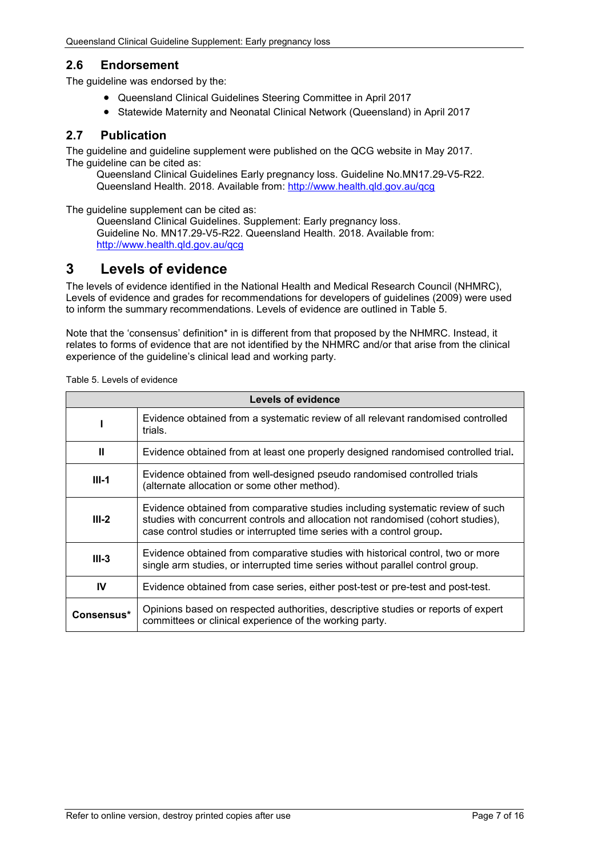## <span id="page-6-0"></span>**2.6 Endorsement**

The guideline was endorsed by the:

- Queensland Clinical Guidelines Steering Committee in April 2017
- Statewide Maternity and Neonatal Clinical Network (Queensland) in April 2017

## <span id="page-6-1"></span>**2.7 Publication**

The guideline and guideline supplement were published on the QCG website in May 2017. The quideline can be cited as:

Queensland Clinical Guidelines Early pregnancy loss. Guideline No.MN17.29-V5-R22. Queensland Health. 2018. Available from: [http://www.health.qld.gov.au/qcg](http://www.health.qld.gov.au/qcg/)

The guideline supplement can be cited as:

Queensland Clinical Guidelines. Supplement: Early pregnancy loss. Guideline No. MN17.29-V5-R22. Queensland Health. 2018. Available from: [http://www.health.qld.gov.au/qcg](http://www.health.qld.gov.au/qcg/)

## <span id="page-6-2"></span>**3 Levels of evidence**

The levels of evidence identified in the National Health and Medical Research Council (NHMRC), Levels of evidence and grades for recommendations for developers of guidelines (2009) were used to inform the summary recommendations. Levels of evidence are outlined in [Table 5.](#page-6-3)

Note that the 'consensus' definition\* in is different from that proposed by the NHMRC. Instead, it relates to forms of evidence that are not identified by the NHMRC and/or that arise from the clinical experience of the guideline's clinical lead and working party.

| Levels of evidence |                                                                                                                                                                                                                                             |  |  |
|--------------------|---------------------------------------------------------------------------------------------------------------------------------------------------------------------------------------------------------------------------------------------|--|--|
|                    | Evidence obtained from a systematic review of all relevant randomised controlled<br>trials.                                                                                                                                                 |  |  |
| Ш                  | Evidence obtained from at least one properly designed randomised controlled trial.                                                                                                                                                          |  |  |
| $III-1$            | Evidence obtained from well-designed pseudo randomised controlled trials<br>(alternate allocation or some other method).                                                                                                                    |  |  |
| $III-2$            | Evidence obtained from comparative studies including systematic review of such<br>studies with concurrent controls and allocation not randomised (cohort studies),<br>case control studies or interrupted time series with a control group. |  |  |
| $III-3$            | Evidence obtained from comparative studies with historical control, two or more<br>single arm studies, or interrupted time series without parallel control group.                                                                           |  |  |
| IV                 | Evidence obtained from case series, either post-test or pre-test and post-test.                                                                                                                                                             |  |  |
| Consensus*         | Opinions based on respected authorities, descriptive studies or reports of expert<br>committees or clinical experience of the working party.                                                                                                |  |  |

<span id="page-6-3"></span>Table 5. Levels of evidence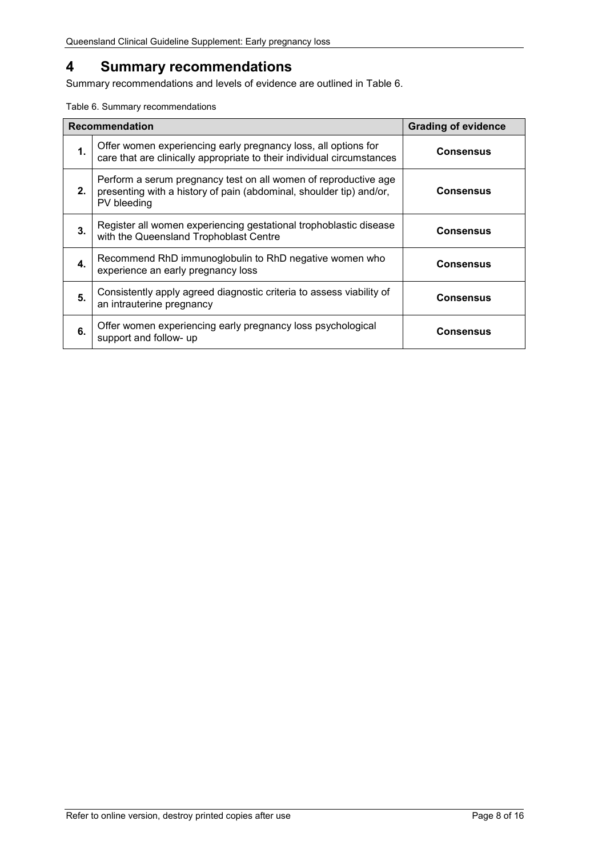# <span id="page-7-0"></span>**4 Summary recommendations**

Summary recommendations and levels of evidence are outlined in Table 6.

<span id="page-7-1"></span>Table 6. Summary recommendations

| <b>Recommendation</b> |                                                                                                                                                       | <b>Grading of evidence</b> |
|-----------------------|-------------------------------------------------------------------------------------------------------------------------------------------------------|----------------------------|
| $\mathbf 1$ .         | Offer women experiencing early pregnancy loss, all options for<br>care that are clinically appropriate to their individual circumstances              | <b>Consensus</b>           |
| 2.                    | Perform a serum pregnancy test on all women of reproductive age<br>presenting with a history of pain (abdominal, shoulder tip) and/or,<br>PV bleeding | Consensus                  |
| 3.                    | Register all women experiencing gestational trophoblastic disease<br>with the Queensland Trophoblast Centre                                           | Consensus                  |
| 4.                    | Recommend RhD immunoglobulin to RhD negative women who<br>experience an early pregnancy loss                                                          | Consensus                  |
| 5.                    | Consistently apply agreed diagnostic criteria to assess viability of<br>an intrauterine pregnancy                                                     | Consensus                  |
| 6.                    | Offer women experiencing early pregnancy loss psychological<br>support and follow- up                                                                 | Consensus                  |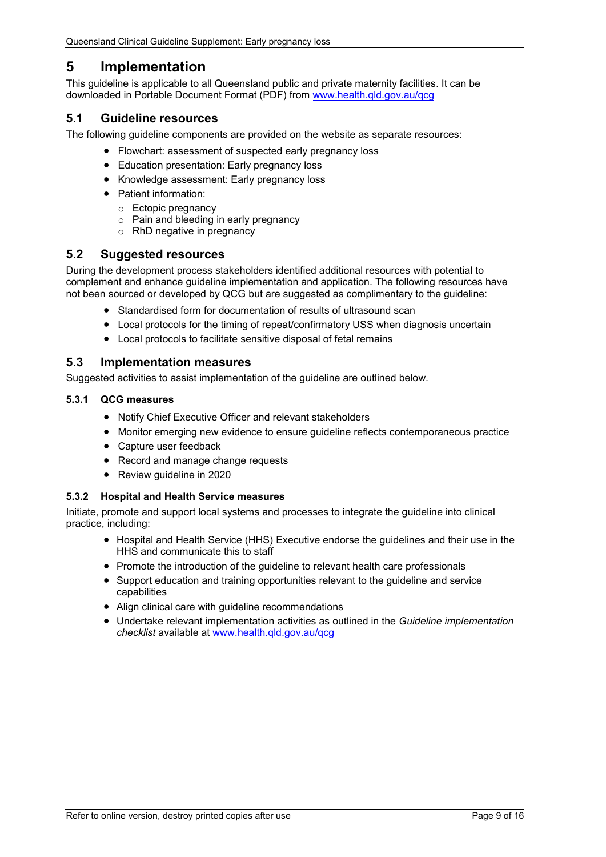## <span id="page-8-0"></span>**5 Implementation**

This guideline is applicable to all Queensland public and private maternity facilities. It can be downloaded in Portable Document Format (PDF) from [www.health.qld.gov.au/qcg](http://www.health.qld.gov.au/qcg)

## <span id="page-8-1"></span>**5.1 Guideline resources**

The following guideline components are provided on the website as separate resources:

- Flowchart: assessment of suspected early pregnancy loss
- Education presentation: Early pregnancy loss
- Knowledge assessment: Early pregnancy loss
- Patient information:
	- o Ectopic pregnancy
	- o Pain and bleeding in early pregnancy
	- o RhD negative in pregnancy

## <span id="page-8-2"></span>**5.2 Suggested resources**

During the development process stakeholders identified additional resources with potential to complement and enhance guideline implementation and application. The following resources have not been sourced or developed by QCG but are suggested as complimentary to the guideline:

- Standardised form for documentation of results of ultrasound scan
- Local protocols for the timing of repeat/confirmatory USS when diagnosis uncertain
- Local protocols to facilitate sensitive disposal of fetal remains

## <span id="page-8-3"></span>**5.3 Implementation measures**

Suggested activities to assist implementation of the guideline are outlined below.

#### <span id="page-8-4"></span>**5.3.1 QCG measures**

- Notify Chief Executive Officer and relevant stakeholders
- Monitor emerging new evidence to ensure guideline reflects contemporaneous practice
- Capture user feedback
- Record and manage change requests
- Review guideline in 2020

#### <span id="page-8-5"></span>**5.3.2 Hospital and Health Service measures**

Initiate, promote and support local systems and processes to integrate the guideline into clinical practice, including:

- Hospital and Health Service (HHS) Executive endorse the guidelines and their use in the HHS and communicate this to staff
- Promote the introduction of the guideline to relevant health care professionals
- Support education and training opportunities relevant to the guideline and service capabilities
- Align clinical care with guideline recommendations
- Undertake relevant implementation activities as outlined in the *Guideline implementation checklist* available at [www.health.qld.gov.au/qcg](http://www.health.qld.gov.au/qcg)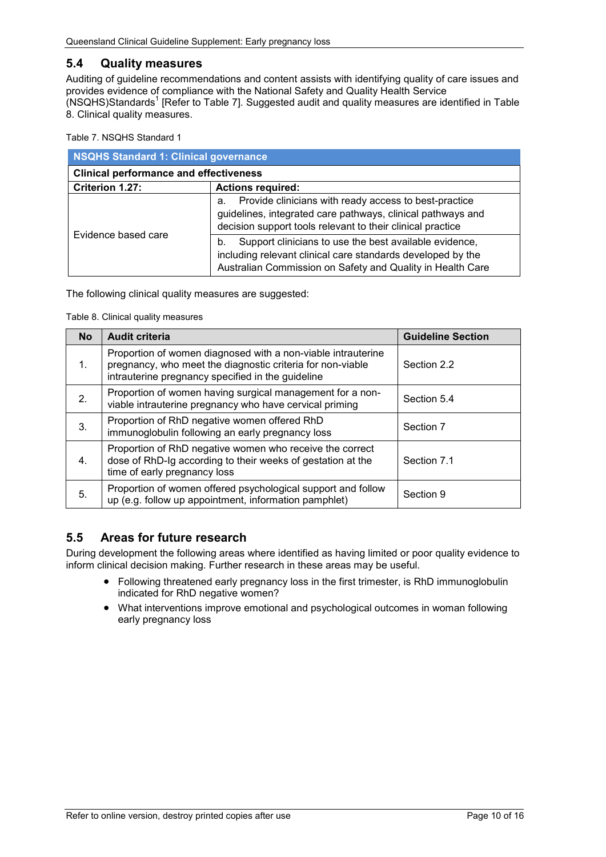## <span id="page-9-0"></span>**5.4 Quality measures**

Auditing of guideline recommendations and content assists with identifying quality of care issues and provides evidence of compliance with the National Safety and Quality Health Service (NSQHS)Standards<sup>1</sup> [Refer to [Table 7\]](#page-9-2). Suggested audit and quality measures are identified in [Table](#page-9-3)  [8. Clinical quality measures.](#page-9-3)

#### <span id="page-9-2"></span>Table 7. NSQHS Standard 1

| <b>NSQHS Standard 1: Clinical governance</b>  |                                                                                                                                                                                           |  |
|-----------------------------------------------|-------------------------------------------------------------------------------------------------------------------------------------------------------------------------------------------|--|
| <b>Clinical performance and effectiveness</b> |                                                                                                                                                                                           |  |
| Criterion 1.27:                               | <b>Actions required:</b>                                                                                                                                                                  |  |
|                                               | Provide clinicians with ready access to best-practice<br>a.<br>guidelines, integrated care pathways, clinical pathways and<br>decision support tools relevant to their clinical practice  |  |
| Evidence based care                           | Support clinicians to use the best available evidence,<br>b.<br>including relevant clinical care standards developed by the<br>Australian Commission on Safety and Quality in Health Care |  |

<span id="page-9-3"></span>The following clinical quality measures are suggested:

Table 8. Clinical quality measures

| <b>No</b> | <b>Audit criteria</b>                                                                                                                                                           | <b>Guideline Section</b> |
|-----------|---------------------------------------------------------------------------------------------------------------------------------------------------------------------------------|--------------------------|
| 1.        | Proportion of women diagnosed with a non-viable intrauterine<br>pregnancy, who meet the diagnostic criteria for non-viable<br>intrauterine pregnancy specified in the guideline | Section 2.2              |
| 2.        | Proportion of women having surgical management for a non-<br>viable intrauterine pregnancy who have cervical priming                                                            | Section 5.4              |
| 3.        | Proportion of RhD negative women offered RhD<br>immunoglobulin following an early pregnancy loss                                                                                | Section 7                |
| 4.        | Proportion of RhD negative women who receive the correct<br>dose of RhD-Ig according to their weeks of gestation at the<br>time of early pregnancy loss                         | Section 7.1              |
| 5.        | Proportion of women offered psychological support and follow<br>up (e.g. follow up appointment, information pamphlet)                                                           | Section 9                |

#### <span id="page-9-1"></span>**5.5 Areas for future research**

During development the following areas where identified as having limited or poor quality evidence to inform clinical decision making. Further research in these areas may be useful.

- Following threatened early pregnancy loss in the first trimester, is RhD immunoglobulin indicated for RhD negative women?
- What interventions improve emotional and psychological outcomes in woman following early pregnancy loss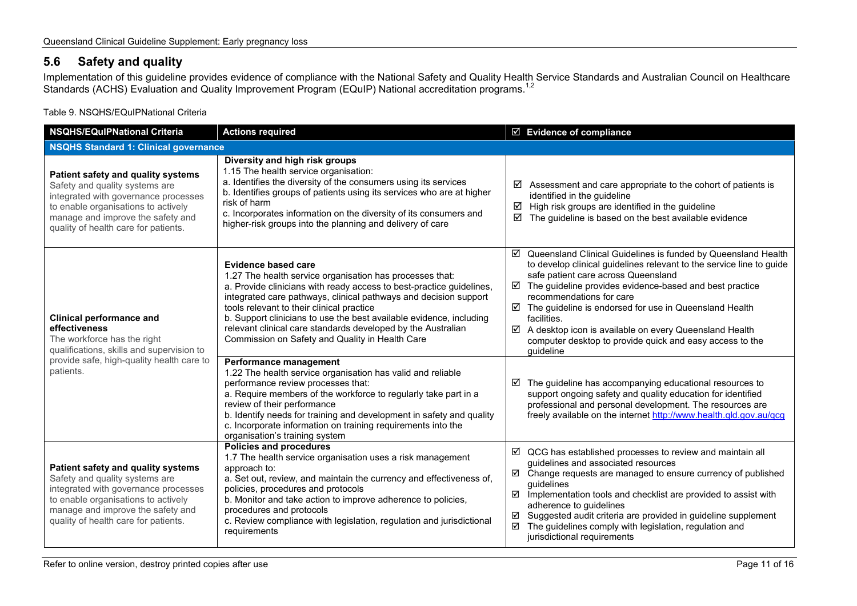## **5.6 Safety and quality**

Implementation of this guideline provides evidence of compliance with the National Safety and Quality Health Service Standards and Australian Council on Healthcare Standards (ACHS) Evaluation and Quality Improvement Program (EQuIP) National accreditation programs.<sup>1,2</sup>

#### Table 9. NSQHS/EQuIPNational Criteria

<span id="page-10-1"></span><span id="page-10-0"></span>

| <b>NSQHS/EQuIPNational Criteria</b>                                                                                                                                                                                              | <b>Actions required</b>                                                                                                                                                                                                                                                                                                                                                                                                                                                   | $\boxtimes$ Evidence of compliance                                                                                                                                                                                                                                                                                                                                                                                                                                                                          |
|----------------------------------------------------------------------------------------------------------------------------------------------------------------------------------------------------------------------------------|---------------------------------------------------------------------------------------------------------------------------------------------------------------------------------------------------------------------------------------------------------------------------------------------------------------------------------------------------------------------------------------------------------------------------------------------------------------------------|-------------------------------------------------------------------------------------------------------------------------------------------------------------------------------------------------------------------------------------------------------------------------------------------------------------------------------------------------------------------------------------------------------------------------------------------------------------------------------------------------------------|
| <b>NSQHS Standard 1: Clinical governance</b>                                                                                                                                                                                     |                                                                                                                                                                                                                                                                                                                                                                                                                                                                           |                                                                                                                                                                                                                                                                                                                                                                                                                                                                                                             |
| Patient safety and quality systems<br>Safety and quality systems are<br>integrated with governance processes<br>to enable organisations to actively<br>manage and improve the safety and<br>quality of health care for patients. | Diversity and high risk groups<br>1.15 The health service organisation:<br>a. Identifies the diversity of the consumers using its services<br>b. Identifies groups of patients using its services who are at higher<br>risk of harm<br>c. Incorporates information on the diversity of its consumers and<br>higher-risk groups into the planning and delivery of care                                                                                                     | Assessment and care appropriate to the cohort of patients is<br>☑<br>identified in the guideline<br>$\boxtimes$ High risk groups are identified in the guideline<br>☑<br>The guideline is based on the best available evidence                                                                                                                                                                                                                                                                              |
| <b>Clinical performance and</b><br>effectiveness<br>The workforce has the right<br>qualifications, skills and supervision to                                                                                                     | <b>Evidence based care</b><br>1.27 The health service organisation has processes that:<br>a. Provide clinicians with ready access to best-practice guidelines,<br>integrated care pathways, clinical pathways and decision support<br>tools relevant to their clinical practice<br>b. Support clinicians to use the best available evidence, including<br>relevant clinical care standards developed by the Australian<br>Commission on Safety and Quality in Health Care | ☑ Queensland Clinical Guidelines is funded by Queensland Health<br>to develop clinical guidelines relevant to the service line to guide<br>safe patient care across Queensland<br>$\boxtimes$ The guideline provides evidence-based and best practice<br>recommendations for care<br>$\boxtimes$ The guideline is endorsed for use in Queensland Health<br>facilities.<br>☑ A desktop icon is available on every Queensland Health<br>computer desktop to provide quick and easy access to the<br>guideline |
| provide safe, high-quality health care to<br>patients.                                                                                                                                                                           | Performance management<br>1.22 The health service organisation has valid and reliable<br>performance review processes that:<br>a. Require members of the workforce to regularly take part in a<br>review of their performance<br>b. Identify needs for training and development in safety and quality<br>c. Incorporate information on training requirements into the<br>organisation's training system                                                                   | $\boxtimes$ The guideline has accompanying educational resources to<br>support ongoing safety and quality education for identified<br>professional and personal development. The resources are<br>freely available on the internet http://www.health.qld.gov.au/qcg                                                                                                                                                                                                                                         |
| Patient safety and quality systems<br>Safety and quality systems are<br>integrated with governance processes<br>to enable organisations to actively<br>manage and improve the safety and<br>quality of health care for patients. | <b>Policies and procedures</b><br>1.7 The health service organisation uses a risk management<br>approach to:<br>a. Set out, review, and maintain the currency and effectiveness of,<br>policies, procedures and protocols<br>b. Monitor and take action to improve adherence to policies,<br>procedures and protocols<br>c. Review compliance with legislation, regulation and jurisdictional<br>requirements                                                             | $\boxtimes$ QCG has established processes to review and maintain all<br>guidelines and associated resources<br>☑ Change requests are managed to ensure currency of published<br>guidelines<br>☑<br>Implementation tools and checklist are provided to assist with<br>adherence to guidelines<br>☑ Suggested audit criteria are provided in guideline supplement<br>The guidelines comply with legislation, regulation and<br>☑<br>jurisdictional requirements                                               |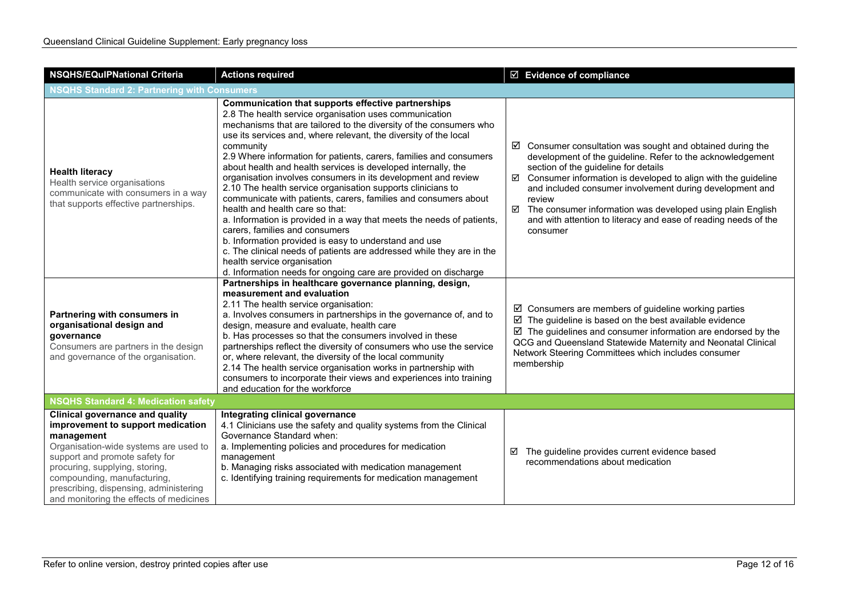| <b>NSQHS/EQuIPNational Criteria</b>                                                                                                                                                                                                                                                                                        | <b>Actions required</b>                                                                                                                                                                                                                                                                                                                                                                                                                                                                                                                                                                                                                                                                                                                                                                                                                                                                                                                                                                         | $\boxtimes$ Evidence of compliance                                                                                                                                                                                                                                                                                                                                                                                                                                           |  |  |
|----------------------------------------------------------------------------------------------------------------------------------------------------------------------------------------------------------------------------------------------------------------------------------------------------------------------------|-------------------------------------------------------------------------------------------------------------------------------------------------------------------------------------------------------------------------------------------------------------------------------------------------------------------------------------------------------------------------------------------------------------------------------------------------------------------------------------------------------------------------------------------------------------------------------------------------------------------------------------------------------------------------------------------------------------------------------------------------------------------------------------------------------------------------------------------------------------------------------------------------------------------------------------------------------------------------------------------------|------------------------------------------------------------------------------------------------------------------------------------------------------------------------------------------------------------------------------------------------------------------------------------------------------------------------------------------------------------------------------------------------------------------------------------------------------------------------------|--|--|
| <b>NSQHS Standard 2: Partnering with Consumers</b>                                                                                                                                                                                                                                                                         |                                                                                                                                                                                                                                                                                                                                                                                                                                                                                                                                                                                                                                                                                                                                                                                                                                                                                                                                                                                                 |                                                                                                                                                                                                                                                                                                                                                                                                                                                                              |  |  |
| <b>Health literacy</b><br>Health service organisations<br>communicate with consumers in a way<br>that supports effective partnerships.                                                                                                                                                                                     | Communication that supports effective partnerships<br>2.8 The health service organisation uses communication<br>mechanisms that are tailored to the diversity of the consumers who<br>use its services and, where relevant, the diversity of the local<br>community<br>2.9 Where information for patients, carers, families and consumers<br>about health and health services is developed internally, the<br>organisation involves consumers in its development and review<br>2.10 The health service organisation supports clinicians to<br>communicate with patients, carers, families and consumers about<br>health and health care so that:<br>a. Information is provided in a way that meets the needs of patients,<br>carers, families and consumers<br>b. Information provided is easy to understand and use<br>c. The clinical needs of patients are addressed while they are in the<br>health service organisation<br>d. Information needs for ongoing care are provided on discharge | $\boxtimes$ Consumer consultation was sought and obtained during the<br>development of the guideline. Refer to the acknowledgement<br>section of the guideline for details<br>$\boxtimes$ Consumer information is developed to align with the guideline<br>and included consumer involvement during development and<br>review<br>☑ The consumer information was developed using plain English<br>and with attention to literacy and ease of reading needs of the<br>consumer |  |  |
| Partnering with consumers in<br>organisational design and<br>governance<br>Consumers are partners in the design<br>and governance of the organisation.                                                                                                                                                                     | Partnerships in healthcare governance planning, design,<br>measurement and evaluation<br>2.11 The health service organisation:<br>a. Involves consumers in partnerships in the governance of, and to<br>design, measure and evaluate, health care<br>b. Has processes so that the consumers involved in these<br>partnerships reflect the diversity of consumers who use the service<br>or, where relevant, the diversity of the local community<br>2.14 The health service organisation works in partnership with<br>consumers to incorporate their views and experiences into training<br>and education for the workforce                                                                                                                                                                                                                                                                                                                                                                     | $\boxtimes$ Consumers are members of guideline working parties<br>$\boxtimes$ The guideline is based on the best available evidence<br>$\boxtimes$ The guidelines and consumer information are endorsed by the<br>QCG and Queensland Statewide Maternity and Neonatal Clinical<br>Network Steering Committees which includes consumer<br>membership                                                                                                                          |  |  |
| <b>NSQHS Standard 4: Medication safety</b>                                                                                                                                                                                                                                                                                 |                                                                                                                                                                                                                                                                                                                                                                                                                                                                                                                                                                                                                                                                                                                                                                                                                                                                                                                                                                                                 |                                                                                                                                                                                                                                                                                                                                                                                                                                                                              |  |  |
| <b>Clinical governance and quality</b><br>improvement to support medication<br>management<br>Organisation-wide systems are used to<br>support and promote safety for<br>procuring, supplying, storing,<br>compounding, manufacturing,<br>prescribing, dispensing, administering<br>and monitoring the effects of medicines | Integrating clinical governance<br>4.1 Clinicians use the safety and quality systems from the Clinical<br>Governance Standard when:<br>a. Implementing policies and procedures for medication<br>management<br>b. Managing risks associated with medication management<br>c. Identifying training requirements for medication management                                                                                                                                                                                                                                                                                                                                                                                                                                                                                                                                                                                                                                                        | The guideline provides current evidence based<br>☑<br>recommendations about medication                                                                                                                                                                                                                                                                                                                                                                                       |  |  |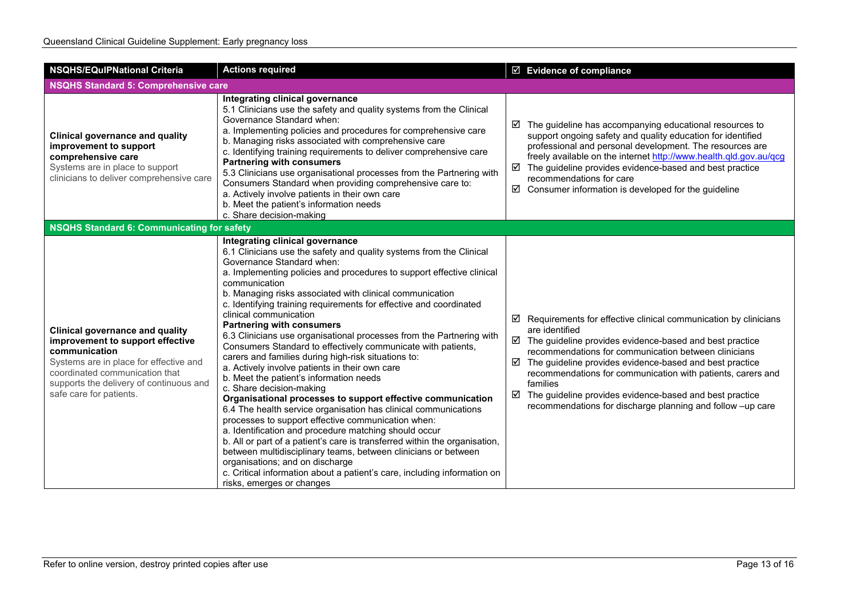| <b>NSQHS/EQulPNational Criteria</b>                                                                                                                                                                                                           | <b>Actions required</b>                                                                                                                                                                                                                                                                                                                                                                                                                                                                                                                                                                                                                                                                                                                                                                                                                                                                                                                                                                                                                                                                                                                                                                                                                                                                            | ☑ Evidence of compliance                                                                                                                                                                                                                                                                                                                                                                                                                                                                                            |
|-----------------------------------------------------------------------------------------------------------------------------------------------------------------------------------------------------------------------------------------------|----------------------------------------------------------------------------------------------------------------------------------------------------------------------------------------------------------------------------------------------------------------------------------------------------------------------------------------------------------------------------------------------------------------------------------------------------------------------------------------------------------------------------------------------------------------------------------------------------------------------------------------------------------------------------------------------------------------------------------------------------------------------------------------------------------------------------------------------------------------------------------------------------------------------------------------------------------------------------------------------------------------------------------------------------------------------------------------------------------------------------------------------------------------------------------------------------------------------------------------------------------------------------------------------------|---------------------------------------------------------------------------------------------------------------------------------------------------------------------------------------------------------------------------------------------------------------------------------------------------------------------------------------------------------------------------------------------------------------------------------------------------------------------------------------------------------------------|
| <b>NSQHS Standard 5: Comprehensive care</b>                                                                                                                                                                                                   |                                                                                                                                                                                                                                                                                                                                                                                                                                                                                                                                                                                                                                                                                                                                                                                                                                                                                                                                                                                                                                                                                                                                                                                                                                                                                                    |                                                                                                                                                                                                                                                                                                                                                                                                                                                                                                                     |
| <b>Clinical governance and quality</b><br>improvement to support<br>comprehensive care<br>Systems are in place to support<br>clinicians to deliver comprehensive care                                                                         | Integrating clinical governance<br>5.1 Clinicians use the safety and quality systems from the Clinical<br>Governance Standard when:<br>a. Implementing policies and procedures for comprehensive care<br>b. Managing risks associated with comprehensive care<br>c. Identifying training requirements to deliver comprehensive care<br><b>Partnering with consumers</b><br>5.3 Clinicians use organisational processes from the Partnering with<br>Consumers Standard when providing comprehensive care to:<br>a. Actively involve patients in their own care<br>b. Meet the patient's information needs<br>c. Share decision-making                                                                                                                                                                                                                                                                                                                                                                                                                                                                                                                                                                                                                                                               | $\boxtimes$ The guideline has accompanying educational resources to<br>support ongoing safety and quality education for identified<br>professional and personal development. The resources are<br>freely available on the internet http://www.health.qld.gov.au/qcg<br>$\boxtimes$ The guideline provides evidence-based and best practice<br>recommendations for care<br>$\boxtimes$ Consumer information is developed for the guideline                                                                           |
| NSQHS Standard 6: Communicating for safety                                                                                                                                                                                                    |                                                                                                                                                                                                                                                                                                                                                                                                                                                                                                                                                                                                                                                                                                                                                                                                                                                                                                                                                                                                                                                                                                                                                                                                                                                                                                    |                                                                                                                                                                                                                                                                                                                                                                                                                                                                                                                     |
| <b>Clinical governance and quality</b><br>improvement to support effective<br>communication<br>Systems are in place for effective and<br>coordinated communication that<br>supports the delivery of continuous and<br>safe care for patients. | Integrating clinical governance<br>6.1 Clinicians use the safety and quality systems from the Clinical<br>Governance Standard when:<br>a. Implementing policies and procedures to support effective clinical<br>communication<br>b. Managing risks associated with clinical communication<br>c. Identifying training requirements for effective and coordinated<br>clinical communication<br><b>Partnering with consumers</b><br>6.3 Clinicians use organisational processes from the Partnering with<br>Consumers Standard to effectively communicate with patients,<br>carers and families during high-risk situations to:<br>a. Actively involve patients in their own care<br>b. Meet the patient's information needs<br>c. Share decision-making<br>Organisational processes to support effective communication<br>6.4 The health service organisation has clinical communications<br>processes to support effective communication when:<br>a. Identification and procedure matching should occur<br>b. All or part of a patient's care is transferred within the organisation,<br>between multidisciplinary teams, between clinicians or between<br>organisations; and on discharge<br>c. Critical information about a patient's care, including information on<br>risks, emerges or changes | $\boxtimes$ Requirements for effective clinical communication by clinicians<br>are identified<br>$\boxtimes$ The guideline provides evidence-based and best practice<br>recommendations for communication between clinicians<br>$\boxtimes$ The guideline provides evidence-based and best practice<br>recommendations for communication with patients, carers and<br>families<br>$\boxtimes$ The guideline provides evidence-based and best practice<br>recommendations for discharge planning and follow -up care |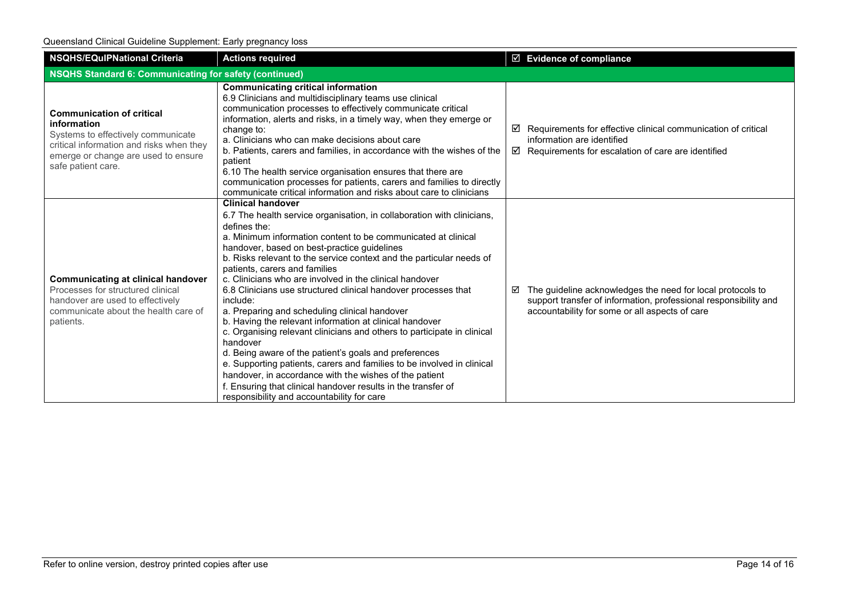Queensland Clinical Guideline Supplement: Early pregnancy loss

| <b>NSQHS/EQulPNational Criteria</b>                                                                                                                                                            | <b>Actions required</b>                                                                                                                                                                                                                                                                                                                                                                                                                                                                                                                                                                                                                                                                                                                                                                                                                                                                                                                                                                             | □ Evidence of compliance                                                                                                                                                              |  |
|------------------------------------------------------------------------------------------------------------------------------------------------------------------------------------------------|-----------------------------------------------------------------------------------------------------------------------------------------------------------------------------------------------------------------------------------------------------------------------------------------------------------------------------------------------------------------------------------------------------------------------------------------------------------------------------------------------------------------------------------------------------------------------------------------------------------------------------------------------------------------------------------------------------------------------------------------------------------------------------------------------------------------------------------------------------------------------------------------------------------------------------------------------------------------------------------------------------|---------------------------------------------------------------------------------------------------------------------------------------------------------------------------------------|--|
| NSQHS Standard 6: Communicating for safety (continued)                                                                                                                                         |                                                                                                                                                                                                                                                                                                                                                                                                                                                                                                                                                                                                                                                                                                                                                                                                                                                                                                                                                                                                     |                                                                                                                                                                                       |  |
| <b>Communication of critical</b><br>information<br>Systems to effectively communicate<br>critical information and risks when they<br>emerge or change are used to ensure<br>safe patient care. | <b>Communicating critical information</b><br>6.9 Clinicians and multidisciplinary teams use clinical<br>communication processes to effectively communicate critical<br>information, alerts and risks, in a timely way, when they emerge or<br>change to:<br>a. Clinicians who can make decisions about care<br>b. Patients, carers and families, in accordance with the wishes of the<br>patient<br>6.10 The health service organisation ensures that there are<br>communication processes for patients, carers and families to directly<br>communicate critical information and risks about care to clinicians                                                                                                                                                                                                                                                                                                                                                                                     | Requirements for effective clinical communication of critical<br>☑<br>information are identified<br>$\boxtimes$ Requirements for escalation of care are identified                    |  |
| <b>Communicating at clinical handover</b><br>Processes for structured clinical<br>handover are used to effectively<br>communicate about the health care of<br>patients.                        | <b>Clinical handover</b><br>6.7 The health service organisation, in collaboration with clinicians,<br>defines the:<br>a. Minimum information content to be communicated at clinical<br>handover, based on best-practice guidelines<br>b. Risks relevant to the service context and the particular needs of<br>patients, carers and families<br>c. Clinicians who are involved in the clinical handover<br>6.8 Clinicians use structured clinical handover processes that<br>include:<br>a. Preparing and scheduling clinical handover<br>b. Having the relevant information at clinical handover<br>c. Organising relevant clinicians and others to participate in clinical<br>handover<br>d. Being aware of the patient's goals and preferences<br>e. Supporting patients, carers and families to be involved in clinical<br>handover, in accordance with the wishes of the patient<br>f. Ensuring that clinical handover results in the transfer of<br>responsibility and accountability for care | The guideline acknowledges the need for local protocols to<br>☑<br>support transfer of information, professional responsibility and<br>accountability for some or all aspects of care |  |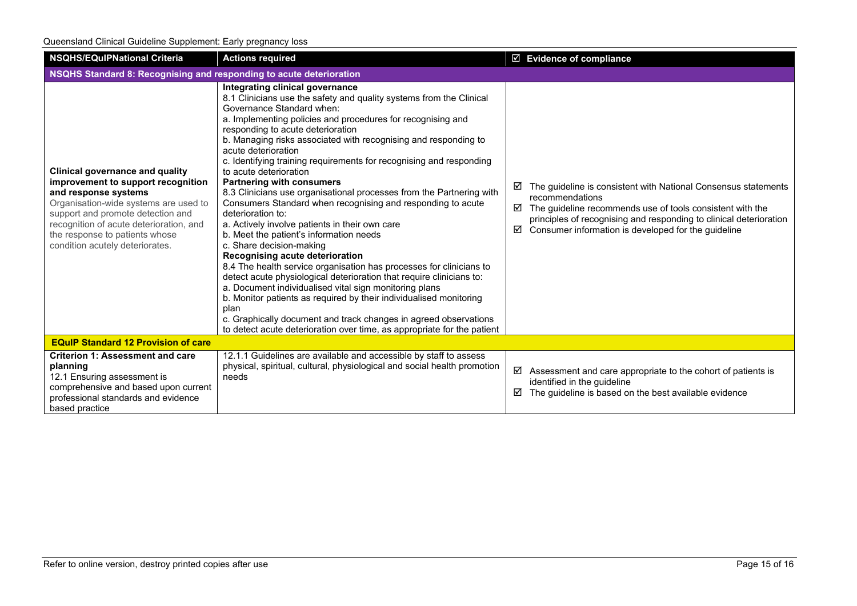| <b>NSQHS/EQuIPNational Criteria</b>                                                                                                                                                                                                                                                                | <b>Actions required</b>                                                                                                                                                                                                                                                                                                                                                                                                                                                                                                                                                                                                                                                                                                                                                                                                                                                                                                                                                                                                                                                                                                                                                                                                              | $\boxtimes$ Evidence of compliance                                                                                                                                                                                                                                                         |  |
|----------------------------------------------------------------------------------------------------------------------------------------------------------------------------------------------------------------------------------------------------------------------------------------------------|--------------------------------------------------------------------------------------------------------------------------------------------------------------------------------------------------------------------------------------------------------------------------------------------------------------------------------------------------------------------------------------------------------------------------------------------------------------------------------------------------------------------------------------------------------------------------------------------------------------------------------------------------------------------------------------------------------------------------------------------------------------------------------------------------------------------------------------------------------------------------------------------------------------------------------------------------------------------------------------------------------------------------------------------------------------------------------------------------------------------------------------------------------------------------------------------------------------------------------------|--------------------------------------------------------------------------------------------------------------------------------------------------------------------------------------------------------------------------------------------------------------------------------------------|--|
| NSQHS Standard 8: Recognising and responding to acute deterioration                                                                                                                                                                                                                                |                                                                                                                                                                                                                                                                                                                                                                                                                                                                                                                                                                                                                                                                                                                                                                                                                                                                                                                                                                                                                                                                                                                                                                                                                                      |                                                                                                                                                                                                                                                                                            |  |
| <b>Clinical governance and quality</b><br>improvement to support recognition<br>and response systems<br>Organisation-wide systems are used to<br>support and promote detection and<br>recognition of acute deterioration, and<br>the response to patients whose<br>condition acutely deteriorates. | Integrating clinical governance<br>8.1 Clinicians use the safety and quality systems from the Clinical<br>Governance Standard when:<br>a. Implementing policies and procedures for recognising and<br>responding to acute deterioration<br>b. Managing risks associated with recognising and responding to<br>acute deterioration<br>c. Identifying training requirements for recognising and responding<br>to acute deterioration<br><b>Partnering with consumers</b><br>8.3 Clinicians use organisational processes from the Partnering with<br>Consumers Standard when recognising and responding to acute<br>deterioration to:<br>a. Actively involve patients in their own care<br>b. Meet the patient's information needs<br>c. Share decision-making<br>Recognising acute deterioration<br>8.4 The health service organisation has processes for clinicians to<br>detect acute physiological deterioration that require clinicians to:<br>a. Document individualised vital sign monitoring plans<br>b. Monitor patients as required by their individualised monitoring<br>plan<br>c. Graphically document and track changes in agreed observations<br>to detect acute deterioration over time, as appropriate for the patient | The guideline is consistent with National Consensus statements<br>☑<br>recommendations<br>☑<br>The guideline recommends use of tools consistent with the<br>principles of recognising and responding to clinical deterioration<br>Consumer information is developed for the guideline<br>☑ |  |
| <b>EQuIP Standard 12 Provision of care</b>                                                                                                                                                                                                                                                         |                                                                                                                                                                                                                                                                                                                                                                                                                                                                                                                                                                                                                                                                                                                                                                                                                                                                                                                                                                                                                                                                                                                                                                                                                                      |                                                                                                                                                                                                                                                                                            |  |
| <b>Criterion 1: Assessment and care</b><br>planning<br>12.1 Ensuring assessment is<br>comprehensive and based upon current<br>professional standards and evidence<br>based practice                                                                                                                | 12.1.1 Guidelines are available and accessible by staff to assess<br>physical, spiritual, cultural, physiological and social health promotion<br>needs                                                                                                                                                                                                                                                                                                                                                                                                                                                                                                                                                                                                                                                                                                                                                                                                                                                                                                                                                                                                                                                                               | ☑<br>Assessment and care appropriate to the cohort of patients is<br>identified in the guideline<br>☑<br>The guideline is based on the best available evidence                                                                                                                             |  |